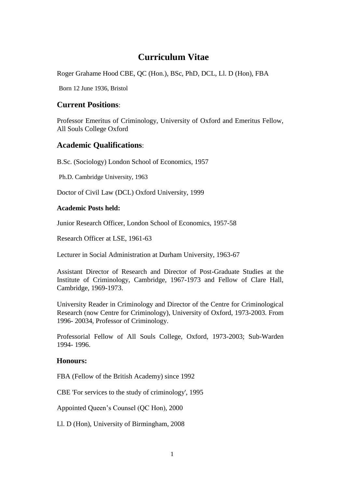# **Curriculum Vitae**

Roger Grahame Hood CBE, QC (Hon.), BSc, PhD, DCL, Ll. D (Hon), FBA

Born 12 June 1936, Bristol

## **Current Positions**:

Professor Emeritus of Criminology, University of Oxford and Emeritus Fellow, All Souls College Oxford

## **Academic Qualifications**:

B.Sc. (Sociology) London School of Economics, 1957

Ph.D. Cambridge University, 1963

Doctor of Civil Law (DCL) Oxford University, 1999

## **Academic Posts held:**

Junior Research Officer, London School of Economics, 1957-58

Research Officer at LSE, 1961-63

Lecturer in Social Administration at Durham University, 1963-67

Assistant Director of Research and Director of Post-Graduate Studies at the Institute of Criminology, Cambridge, 1967-1973 and Fellow of Clare Hall, Cambridge, 1969-1973.

University Reader in Criminology and Director of the Centre for Criminological Research (now Centre for Criminology), University of Oxford, 1973-2003. From 1996- 20034, Professor of Criminology.

Professorial Fellow of All Souls College, Oxford, 1973-2003; Sub-Warden 1994- 1996.

## **Honours:**

FBA (Fellow of the British Academy) since 1992

CBE 'For services to the study of criminology', 1995

Appointed Queen's Counsel (QC Hon), 2000

Ll. D (Hon), University of Birmingham, 2008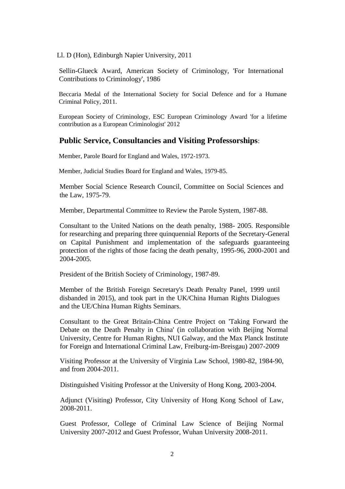Ll. D (Hon), Edinburgh Napier University, 2011

Sellin-Glueck Award, American Society of Criminology, 'For International Contributions to Criminology', 1986

Beccaria Medal of the International Society for Social Defence and for a Humane Criminal Policy, 2011.

European Society of Criminology, ESC European Criminology Award 'for a lifetime contribution as a European Criminologist' 2012

### **Public Service, Consultancies and Visiting Professorships**:

Member, Parole Board for England and Wales, 1972-1973.

Member, Judicial Studies Board for England and Wales, 1979-85.

Member Social Science Research Council, Committee on Social Sciences and the Law, 1975-79.

Member, Departmental Committee to Review the Parole System, 1987-88.

Consultant to the United Nations on the death penalty, 1988- 2005. Responsible for researching and preparing three quinquennial Reports of the Secretary-General on Capital Punishment and implementation of the safeguards guaranteeing protection of the rights of those facing the death penalty, 1995-96, 2000-2001 and 2004-2005.

President of the British Society of Criminology, 1987-89.

Member of the British Foreign Secretary's Death Penalty Panel, 1999 until disbanded in 2015), and took part in the UK/China Human Rights Dialogues and the UE/China Human Rights Seminars.

Consultant to the Great Britain-China Centre Project on 'Taking Forward the Debate on the Death Penalty in China' (in collaboration with Beijing Normal University, Centre for Human Rights, NUI Galway, and the Max Planck Institute for Foreign and International Criminal Law, Freiburg-im-Breisgau) 2007-2009

Visiting Professor at the University of Virginia Law School, 1980-82, 1984-90, and from 2004-2011.

Distinguished Visiting Professor at the University of Hong Kong, 2003-2004.

Adjunct (Visiting) Professor, City University of Hong Kong School of Law, 2008-2011.

Guest Professor, College of Criminal Law Science of Beijing Normal University 2007-2012 and Guest Professor, Wuhan University 2008-2011.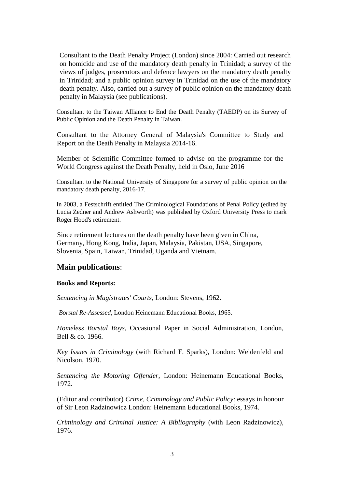Consultant to the Death Penalty Project (London) since 2004: Carried out research on homicide and use of the mandatory death penalty in Trinidad; a survey of the views of judges, prosecutors and defence lawyers on the mandatory death penalty in Trinidad; and a public opinion survey in Trinidad on the use of the mandatory death penalty. Also, carried out a survey of public opinion on the mandatory death penalty in Malaysia (see publications).

Consultant to the Taiwan Alliance to End the Death Penalty (TAEDP) on its Survey of Public Opinion and the Death Penalty in Taiwan.

Consultant to the Attorney General of Malaysia's Committee to Study and Report on the Death Penalty in Malaysia 2014-16.

Member of Scientific Committee formed to advise on the programme for the World Congress against the Death Penalty, held in Oslo, June 2016

Consultant to the National University of Singapore for a survey of public opinion on the mandatory death penalty, 2016-17.

In 2003, a Festschrift entitled The Criminological Foundations of Penal Policy (edited by Lucia Zedner and Andrew Ashworth) was published by Oxford University Press to mark Roger Hood's retirement.

Since retirement lectures on the death penalty have been given in China, Germany, Hong Kong, India, Japan, Malaysia, Pakistan, USA, Singapore, Slovenia, Spain, Taiwan, Trinidad, Uganda and Vietnam.

### **Main publications**:

#### **Books and Reports:**

*Sentencing in Magistrates' Courts*, London: Stevens, 1962.

*Borstal Re-Assessed*, London Heinemann Educational Books, 1965.

*Homeless Borstal Boys*, Occasional Paper in Social Administration, London, Bell & co. 1966.

*Key Issues in Criminology* (with Richard F. Sparks), London: Weidenfeld and Nicolson, 1970.

*Sentencing the Motoring Offender*, London: Heinemann Educational Books, 1972.

(Editor and contributor) *Crime, Criminology and Public Policy*: essays in honour of Sir Leon Radzinowicz London: Heinemann Educational Books, 1974.

*Criminology and Criminal Justice: A Bibliography* (with Leon Radzinowicz), 1976.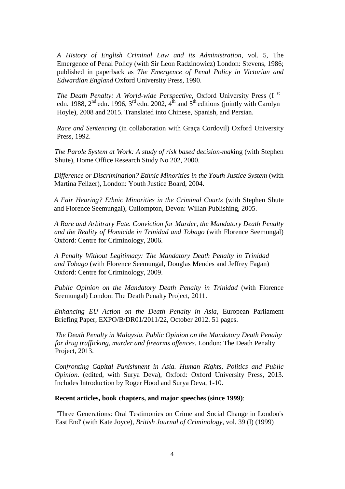*A History of English Criminal Law and its Administration*, vol. 5, The Emergence of Penal Policy (with Sir Leon Radzinowicz) London: Stevens, 1986; published in paperback as *The Emergence of Penal Policy in Victorian and Edwardian England* Oxford University Press, 1990.

*The Death Penalty: A World-wide Perspective*, Oxford University Press (I st edn. 1988,  $2^{nd}$  edn. 1996,  $3^{rd}$  edn. 2002,  $4^{th}$  and  $5^{th}$  editions (jointly with Carolyn Hoyle), 2008 and 2015. Translated into Chinese, Spanish, and Persian.

*Race and Sentencing* (in collaboration with Graça Cordovil) Oxford University Press, 1992.

*The Parole System at Work: A study of risk based decision-mak*ing (with Stephen Shute), Home Office Research Study No 202, 2000.

*Difference or Discrimination? Ethnic Minorities in the Youth Justice System* (with Martina Feilzer), London: Youth Justice Board, 2004.

*A Fair Hearing? Ethnic Minorities in the Criminal Courts* (with Stephen Shute and Florence Seemungal), Cullompton, Devon: Willan Publishing, 2005.

*A Rare and Arbitrary Fate. Conviction for Murder, the Mandatory Death Penalty and the Reality of Homicide in Trinidad and Tobago* (with Florence Seemungal) Oxford: Centre for Criminology, 2006.

*A Penalty Without Legitimacy: The Mandatory Death Penalty in Trinidad and Tobago* (with Florence Seemungal, Douglas Mendes and Jeffrey Fagan) Oxford: Centre for Criminology, 2009.

*Public Opinion on the Mandatory Death Penalty in Trinidad* (with Florence Seemungal) London: The Death Penalty Project, 2011.

*Enhancing EU Action on the Death Penalty in Asia*, European Parliament Briefing Paper, EXPO/B/DR01/2011/22, October 2012. 51 pages.

*The Death Penalty in Malaysia. Public Opinion on the Mandatory Death Penalty for drug trafficking, murder and firearms offences*. London: The Death Penalty Project, 2013.

*Confronting Capital Punishment in Asia. Human Rights, Politics and Public Opinion.* (edited, with Surya Deva), Oxford: Oxford University Press, 2013. Includes Introduction by Roger Hood and Surya Deva, 1-10.

#### **Recent articles, book chapters, and major speeches (since 1999)**:

'Three Generations: Oral Testimonies on Crime and Social Change in London's East End' (with Kate Joyce), *British Journal of Criminology*, vol. 39 (l) (1999)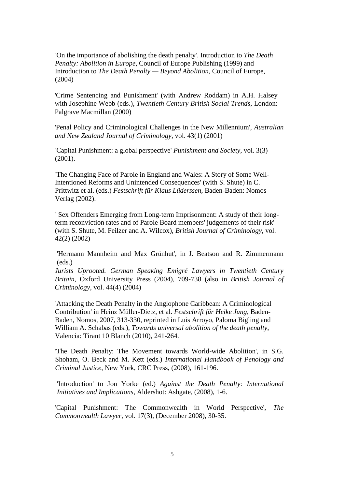'On the importance of abolishing the death penalty'. Introduction to *The Death Penalty: Abolition in Europe*, Council of Europe Publishing (1999) and Introduction to *The Death Penalty — Beyond Abolition*, Council of Europe, (2004)

'Crime Sentencing and Punishment' (with Andrew Roddam) in A.H. Halsey with Josephine Webb (eds.), *Twentieth Century British Social Trends*, London: Palgrave Macmillan (2000)

'Penal Policy and Criminological Challenges in the New Millennium', *Australian and New Zealand Journal of Criminology*, vol. 43(1) (2001)

'Capital Punishment: a global perspective' *Punishment and Society*, vol. 3(3) (2001).

'The Changing Face of Parole in England and Wales: A Story of Some Well-Intentioned Reforms and Unintended Consequences' (with S. Shute) in C. Prittwitz et al. (eds.) *Festschrift für Klaus Lüderssen*, Baden-Baden: Nomos Verlag (2002).

' Sex Offenders Emerging from Long-term Imprisonment: A study of their longterm reconviction rates and of Parole Board members' judgements of their risk' (with S. Shute, M. Feilzer and A. Wilcox), *British Journal of Criminology*, vol. 42(2) (2002)

'Hermann Mannheim and Max Grünhut', in J. Beatson and R. Zimmermann (eds.)

*Jurists Uprooted. German Speaking Emigré Lawyers in Twentieth Century Britain*, Oxford University Press (2004), 709-738 (also in *British Journal of Criminology*, vol. 44(4) (2004)

'Attacking the Death Penalty in the Anglophone Caribbean: A Criminological Contribution' in Heinz Müller-Dietz, et al. *Festschrift für Heike Jung*, Baden-Baden, Nomos, 2007, 313-330, reprinted in Luis Arroyo, Paloma Bigling and William A. Schabas (eds.), *Towards universal abolition of the death penalty*, Valencia: Tirant 10 Blanch (2010), 241-264.

'The Death Penalty: The Movement towards World-wide Abolition', in S.G. Shoham, O. Beck and M. Kett (eds.) *International Handbook of Penology and Criminal Justice*, New York, CRC Press, (2008), 161-196.

'Introduction' to Jon Yorke (ed.) *Against the Death Penalty: International Initiatives and Implications*, Aldershot: Ashgate, (2008), 1-6.

'Capital Punishment: The Commonwealth in World Perspective', *The Commonwealth Lawyer*, vol. 17(3), (December 2008), 30-35.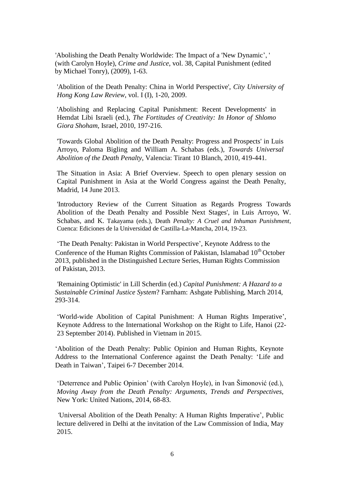'Abolishing the Death Penalty Worldwide: The Impact of a 'New Dynamic', ' (with Carolyn Hoyle), *Crime and Justice*, vol. 38, Capital Punishment (edited by Michael Tonry), (2009), 1-63.

'Abolition of the Death Penalty: China in World Perspective', *City University of Hong Kong Law Review*, vol. I (I), 1-20, 2009.

'Abolishing and Replacing Capital Punishment: Recent Developments' in Hemdat Libi Israeli (ed.), *The Fortitudes of Creativity: In Honor of Shlomo Giora Shoham*, Israel, 2010, 197-216.

'Towards Global Abolition of the Death Penalty: Progress and Prospects' in Luis Arroyo, Paloma Bigling and William A. Schabas (eds.), *Towards Universal Abolition of the Death Penalty*, Valencia: Tirant 10 Blanch, 2010, 419-441.

The Situation in Asia: A Brief Overview. Speech to open plenary session on Capital Punishment in Asia at the World Congress against the Death Penalty, Madrid, 14 June 2013.

'Introductory Review of the Current Situation as Regards Progress Towards Abolition of the Death Penalty and Possible Next Stages', in Luis Arroyo, W. Schabas, and K. Takayama (eds.), Death *Penalty: A Cruel and Inhuman Punishment*, Cuenca: Ediciones de la Universidad de Castilla-La-Mancha, 2014, 19-23.

'The Death Penalty: Pakistan in World Perspective', Keynote Address to the Conference of the Human Rights Commission of Pakistan, Islamabad 10<sup>th</sup> October 2013, published in the Distinguished Lecture Series, Human Rights Commission of Pakistan, 2013.

'Remaining Optimistic' in Lill Scherdin (ed.) *Capital Punishment: A Hazard to a Sustainable Criminal Justice System*? Farnham: Ashgate Publishing, March 2014, 293-314.

'World-wide Abolition of Capital Punishment: A Human Rights Imperative', Keynote Address to the International Workshop on the Right to Life, Hanoi (22- 23 September 2014). Published in Vietnam in 2015.

'Abolition of the Death Penalty: Public Opinion and Human Rights, Keynote Address to the International Conference against the Death Penalty: 'Life and Death in Taiwan', Taipei 6-7 December 2014.

'Deterrence and Public Opinion' (with Carolyn Hoyle), in Ivan Šimonović (ed.), *Moving Away from the Death Penalty: Arguments, Trends and Perspectives,*  New York: United Nations, 2014, 68-83.

*'*Universal Abolition of the Death Penalty: A Human Rights Imperative', Public lecture delivered in Delhi at the invitation of the Law Commission of India, May 2015.